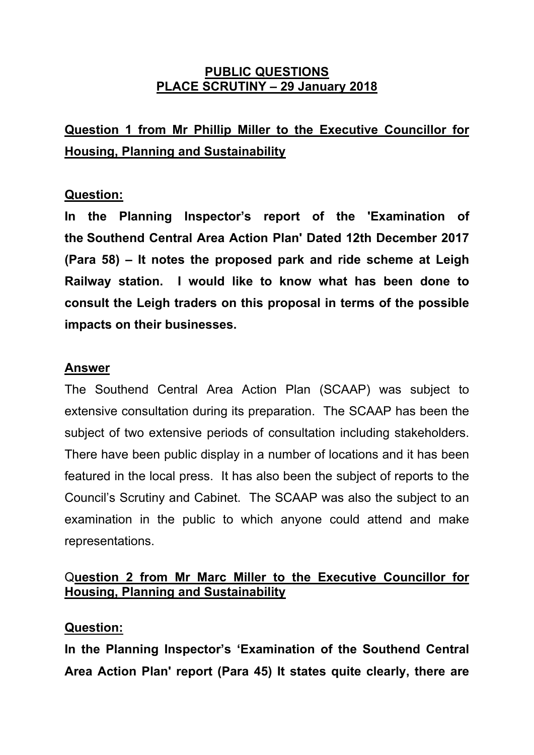### **PUBLIC QUESTIONS PLACE SCRUTINY – 29 January 2018**

# **Question 1 from Mr Phillip Miller to the Executive Councillor for Housing, Planning and Sustainability**

## **Question:**

**In the Planning Inspector's report of the 'Examination of the Southend Central Area Action Plan' Dated 12th December 2017 (Para 58) – It notes the proposed park and ride scheme at Leigh Railway station. I would like to know what has been done to consult the Leigh traders on this proposal in terms of the possible impacts on their businesses.**

### **Answer**

The Southend Central Area Action Plan (SCAAP) was subject to extensive consultation during its preparation. The SCAAP has been the subject of two extensive periods of consultation including stakeholders. There have been public display in a number of locations and it has been featured in the local press. It has also been the subject of reports to the Council's Scrutiny and Cabinet. The SCAAP was also the subject to an examination in the public to which anyone could attend and make representations.

## Q**uestion 2 from Mr Marc Miller to the Executive Councillor for Housing, Planning and Sustainability**

### **Question:**

**In the Planning Inspector's 'Examination of the Southend Central Area Action Plan' report (Para 45) It states quite clearly, there are**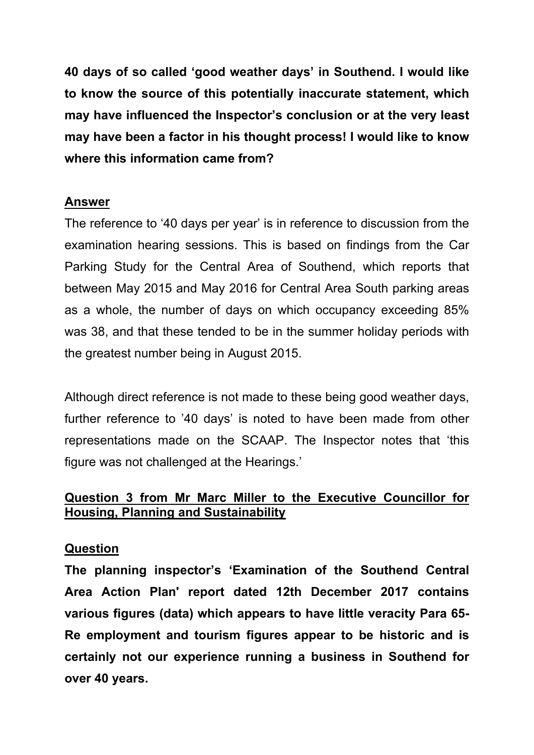**40 days of so called 'good weather days' in Southend. I would like to know the source of this potentially inaccurate statement, which may have influenced the Inspector's conclusion or at the very least may have been a factor in his thought process! I would like to know where this information came from?** 

#### **Answer**

The reference to '40 days per year' is in reference to discussion from the examination hearing sessions. This is based on findings from the Car Parking Study for the Central Area of Southend, which reports that between May 2015 and May 2016 for Central Area South parking areas as a whole, the number of days on which occupancy exceeding 85% was 38, and that these tended to be in the summer holiday periods with the greatest number being in August 2015.

Although direct reference is not made to these being good weather days, further reference to '40 days' is noted to have been made from other representations made on the SCAAP. The Inspector notes that 'this figure was not challenged at the Hearings.'

## **Question 3 from Mr Marc Miller to the Executive Councillor for Housing, Planning and Sustainability**

#### **Question**

**The planning inspector's 'Examination of the Southend Central Area Action Plan' report dated 12th December 2017 contains various figures (data) which appears to have little veracity Para 65- Re employment and tourism figures appear to be historic and is certainly not our experience running a business in Southend for over 40 years.**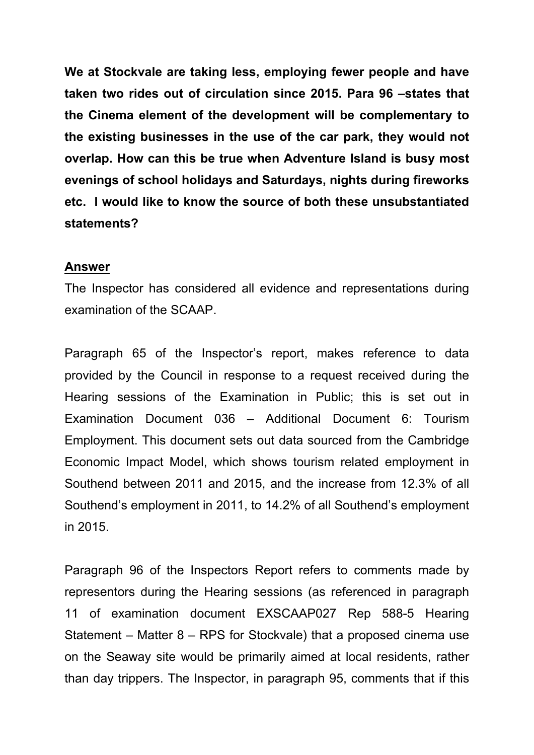**We at Stockvale are taking less, employing fewer people and have taken two rides out of circulation since 2015. Para 96 –states that the Cinema element of the development will be complementary to the existing businesses in the use of the car park, they would not overlap. How can this be true when Adventure Island is busy most evenings of school holidays and Saturdays, nights during fireworks etc. I would like to know the source of both these unsubstantiated statements?** 

#### **Answer**

The Inspector has considered all evidence and representations during examination of the SCAAP.

Paragraph 65 of the Inspector's report, makes reference to data provided by the Council in response to a request received during the Hearing sessions of the Examination in Public; this is set out in Examination Document 036 – Additional Document 6: Tourism Employment. This document sets out data sourced from the Cambridge Economic Impact Model, which shows tourism related employment in Southend between 2011 and 2015, and the increase from 12.3% of all Southend's employment in 2011, to 14.2% of all Southend's employment in 2015.

Paragraph 96 of the Inspectors Report refers to comments made by representors during the Hearing sessions (as referenced in paragraph 11 of examination document EXSCAAP027 Rep 588-5 Hearing Statement – Matter 8 – RPS for Stockvale) that a proposed cinema use on the Seaway site would be primarily aimed at local residents, rather than day trippers. The Inspector, in paragraph 95, comments that if this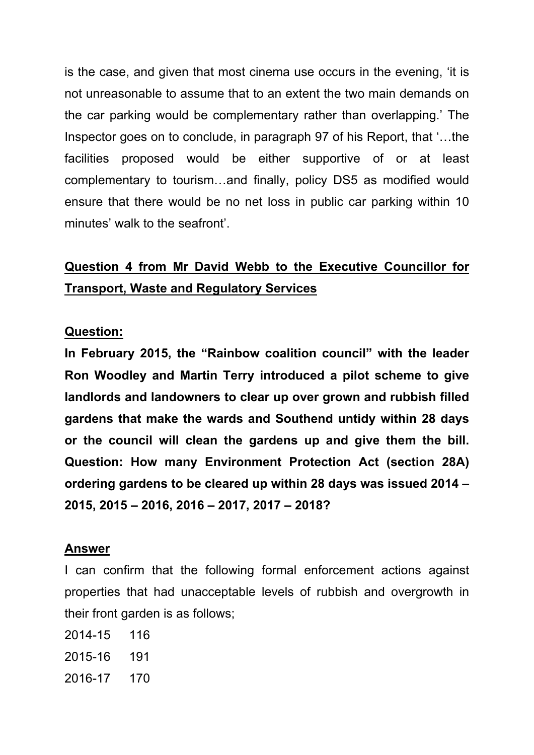is the case, and given that most cinema use occurs in the evening, 'it is not unreasonable to assume that to an extent the two main demands on the car parking would be complementary rather than overlapping.' The Inspector goes on to conclude, in paragraph 97 of his Report, that '…the facilities proposed would be either supportive of or at least complementary to tourism…and finally, policy DS5 as modified would ensure that there would be no net loss in public car parking within 10 minutes' walk to the seafront'.

# **Question 4 from Mr David Webb to the Executive Councillor for Transport, Waste and Regulatory Services**

#### **Question:**

**In February 2015, the "Rainbow coalition council" with the leader Ron Woodley and Martin Terry introduced a pilot scheme to give landlords and landowners to clear up over grown and rubbish filled gardens that make the wards and Southend untidy within 28 days or the council will clean the gardens up and give them the bill. Question: How many Environment Protection Act (section 28A) ordering gardens to be cleared up within 28 days was issued 2014 – 2015, 2015 – 2016, 2016 – 2017, 2017 – 2018?**

#### **Answer**

I can confirm that the following formal enforcement actions against properties that had unacceptable levels of rubbish and overgrowth in their front garden is as follows;

- 2014-15 116
- 2015-16 191
- 2016-17 170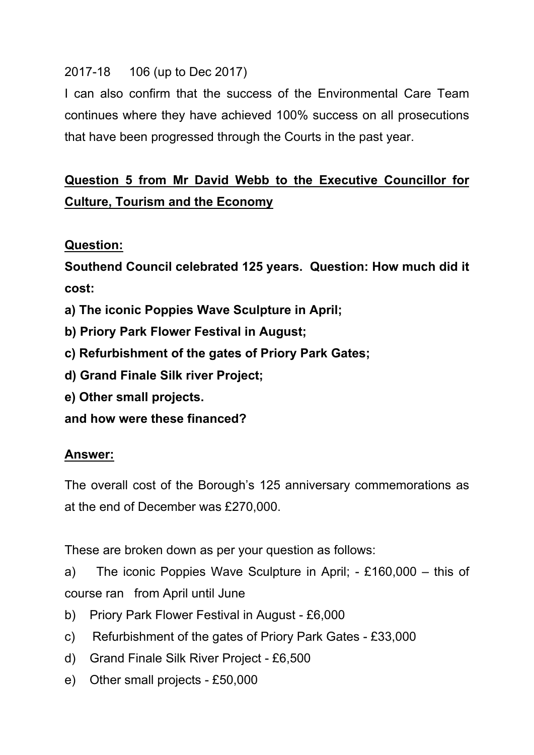## 2017-18 106 (up to Dec 2017)

I can also confirm that the success of the Environmental Care Team continues where they have achieved 100% success on all prosecutions that have been progressed through the Courts in the past year.

# **Question 5 from Mr David Webb to the Executive Councillor for Culture, Tourism and the Economy**

## **Question:**

**Southend Council celebrated 125 years. Question: How much did it cost:**

- **a) The iconic Poppies Wave Sculpture in April;**
- **b) Priory Park Flower Festival in August;**
- **c) Refurbishment of the gates of Priory Park Gates;**
- **d) Grand Finale Silk river Project;**
- **e) Other small projects.**

**and how were these financed?**

### **Answer:**

The overall cost of the Borough's 125 anniversary commemorations as at the end of December was £270,000.

These are broken down as per your question as follows:

a) The iconic Poppies Wave Sculpture in April; - £160,000 – this of course ran from April until June

- b) Priory Park Flower Festival in August £6,000
- c) Refurbishment of the gates of Priory Park Gates £33,000
- d) Grand Finale Silk River Project £6,500
- e) Other small projects £50,000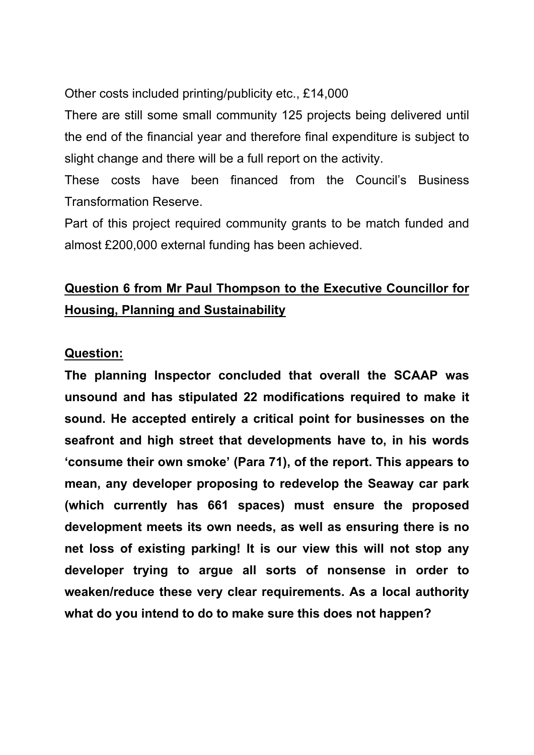Other costs included printing/publicity etc., £14,000

There are still some small community 125 projects being delivered until the end of the financial year and therefore final expenditure is subject to slight change and there will be a full report on the activity.

These costs have been financed from the Council's Business Transformation Reserve.

Part of this project required community grants to be match funded and almost £200,000 external funding has been achieved.

# **Question 6 from Mr Paul Thompson to the Executive Councillor for Housing, Planning and Sustainability**

### **Question:**

**The planning Inspector concluded that overall the SCAAP was unsound and has stipulated 22 modifications required to make it sound. He accepted entirely a critical point for businesses on the seafront and high street that developments have to, in his words 'consume their own smoke' (Para 71), of the report. This appears to mean, any developer proposing to redevelop the Seaway car park (which currently has 661 spaces) must ensure the proposed development meets its own needs, as well as ensuring there is no net loss of existing parking! It is our view this will not stop any developer trying to argue all sorts of nonsense in order to weaken/reduce these very clear requirements. As a local authority what do you intend to do to make sure this does not happen?**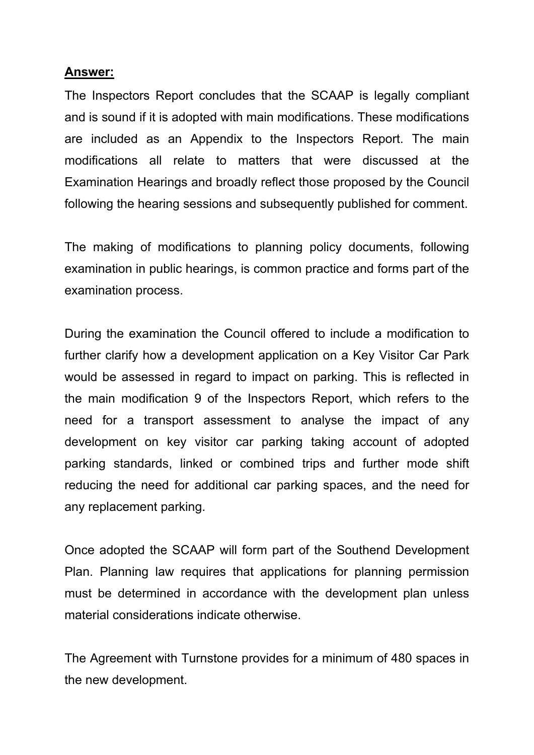#### **Answer:**

The Inspectors Report concludes that the SCAAP is legally compliant and is sound if it is adopted with main modifications. These modifications are included as an Appendix to the Inspectors Report. The main modifications all relate to matters that were discussed at the Examination Hearings and broadly reflect those proposed by the Council following the hearing sessions and subsequently published for comment.

The making of modifications to planning policy documents, following examination in public hearings, is common practice and forms part of the examination process.

During the examination the Council offered to include a modification to further clarify how a development application on a Key Visitor Car Park would be assessed in regard to impact on parking. This is reflected in the main modification 9 of the Inspectors Report, which refers to the need for a transport assessment to analyse the impact of any development on key visitor car parking taking account of adopted parking standards, linked or combined trips and further mode shift reducing the need for additional car parking spaces, and the need for any replacement parking.

Once adopted the SCAAP will form part of the Southend Development Plan. Planning law requires that applications for planning permission must be determined in accordance with the development plan unless material considerations indicate otherwise.

The Agreement with Turnstone provides for a minimum of 480 spaces in the new development.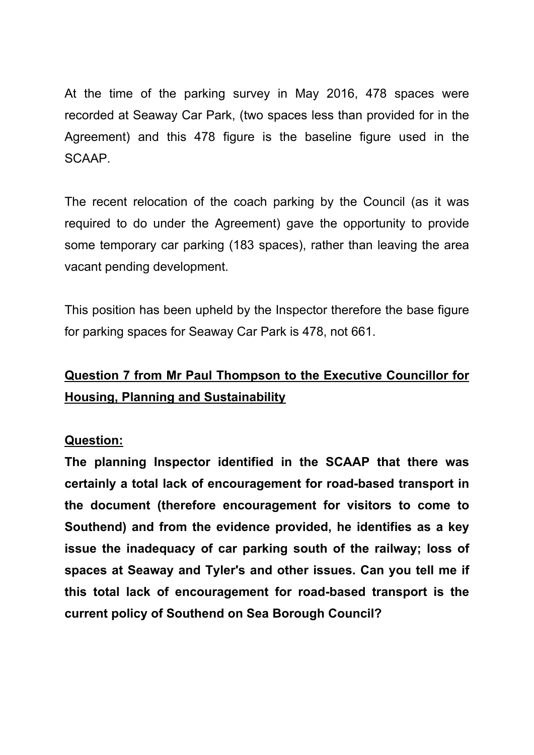At the time of the parking survey in May 2016, 478 spaces were recorded at Seaway Car Park, (two spaces less than provided for in the Agreement) and this 478 figure is the baseline figure used in the SCAAP.

The recent relocation of the coach parking by the Council (as it was required to do under the Agreement) gave the opportunity to provide some temporary car parking (183 spaces), rather than leaving the area vacant pending development.

This position has been upheld by the Inspector therefore the base figure for parking spaces for Seaway Car Park is 478, not 661.

# **Question 7 from Mr Paul Thompson to the Executive Councillor for Housing, Planning and Sustainability**

### **Question:**

**The planning Inspector identified in the SCAAP that there was certainly a total lack of encouragement for road-based transport in the document (therefore encouragement for visitors to come to Southend) and from the evidence provided, he identifies as a key issue the inadequacy of car parking south of the railway; loss of spaces at Seaway and Tyler's and other issues. Can you tell me if this total lack of encouragement for road-based transport is the current policy of Southend on Sea Borough Council?**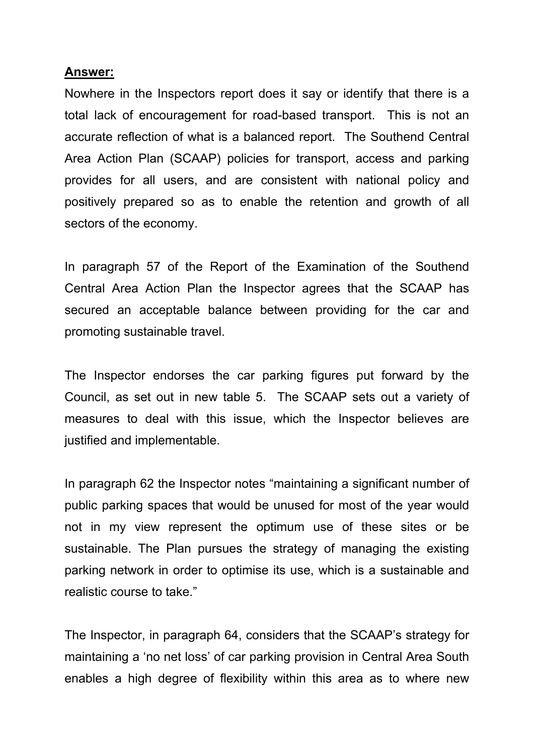#### **Answer:**

Nowhere in the Inspectors report does it say or identify that there is a total lack of encouragement for road-based transport. This is not an accurate reflection of what is a balanced report. The Southend Central Area Action Plan (SCAAP) policies for transport, access and parking provides for all users, and are consistent with national policy and positively prepared so as to enable the retention and growth of all sectors of the economy.

In paragraph 57 of the Report of the Examination of the Southend Central Area Action Plan the Inspector agrees that the SCAAP has secured an acceptable balance between providing for the car and promoting sustainable travel.

The Inspector endorses the car parking figures put forward by the Council, as set out in new table 5. The SCAAP sets out a variety of measures to deal with this issue, which the Inspector believes are justified and implementable.

In paragraph 62 the Inspector notes "maintaining a significant number of public parking spaces that would be unused for most of the year would not in my view represent the optimum use of these sites or be sustainable. The Plan pursues the strategy of managing the existing parking network in order to optimise its use, which is a sustainable and realistic course to take."

The Inspector, in paragraph 64, considers that the SCAAP's strategy for maintaining a 'no net loss' of car parking provision in Central Area South enables a high degree of flexibility within this area as to where new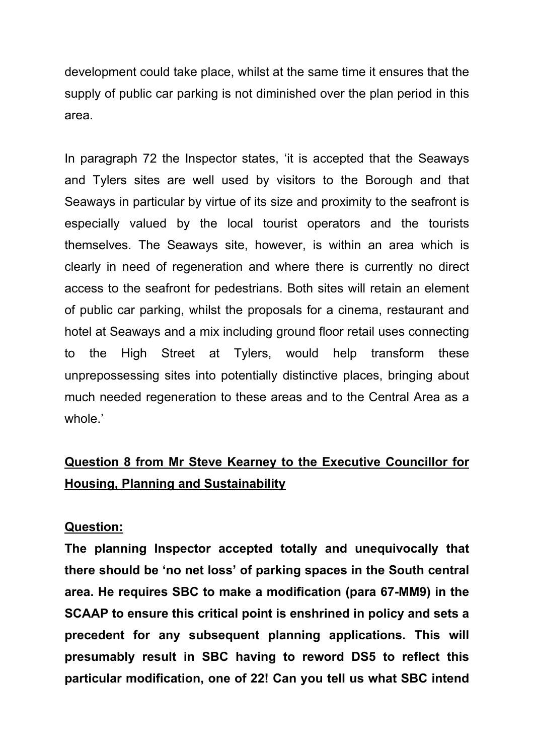development could take place, whilst at the same time it ensures that the supply of public car parking is not diminished over the plan period in this area.

In paragraph 72 the Inspector states, 'it is accepted that the Seaways and Tylers sites are well used by visitors to the Borough and that Seaways in particular by virtue of its size and proximity to the seafront is especially valued by the local tourist operators and the tourists themselves. The Seaways site, however, is within an area which is clearly in need of regeneration and where there is currently no direct access to the seafront for pedestrians. Both sites will retain an element of public car parking, whilst the proposals for a cinema, restaurant and hotel at Seaways and a mix including ground floor retail uses connecting to the High Street at Tylers, would help transform these unprepossessing sites into potentially distinctive places, bringing about much needed regeneration to these areas and to the Central Area as a whole.'

# **Question 8 from Mr Steve Kearney to the Executive Councillor for Housing, Planning and Sustainability**

#### **Question:**

**The planning Inspector accepted totally and unequivocally that there should be 'no net loss' of parking spaces in the South central area. He requires SBC to make a modification (para 67-MM9) in the SCAAP to ensure this critical point is enshrined in policy and sets a precedent for any subsequent planning applications. This will presumably result in SBC having to reword DS5 to reflect this particular modification, one of 22! Can you tell us what SBC intend**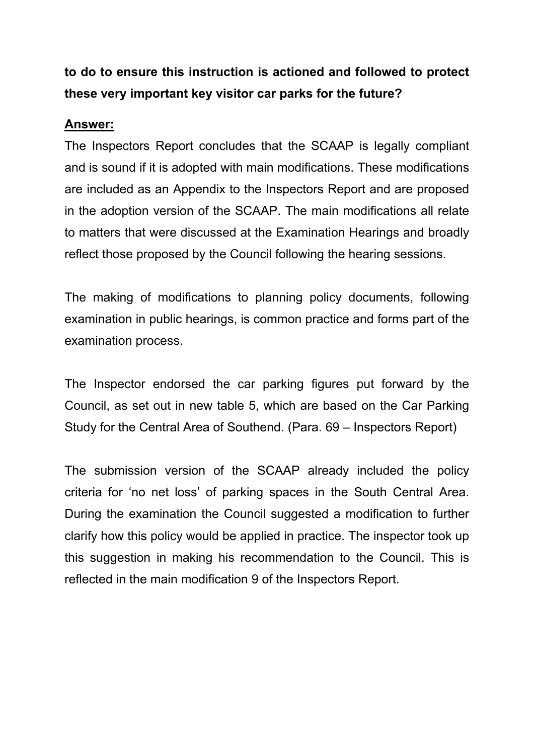# **to do to ensure this instruction is actioned and followed to protect these very important key visitor car parks for the future?**

## **Answer:**

The Inspectors Report concludes that the SCAAP is legally compliant and is sound if it is adopted with main modifications. These modifications are included as an Appendix to the Inspectors Report and are proposed in the adoption version of the SCAAP. The main modifications all relate to matters that were discussed at the Examination Hearings and broadly reflect those proposed by the Council following the hearing sessions.

The making of modifications to planning policy documents, following examination in public hearings, is common practice and forms part of the examination process.

The Inspector endorsed the car parking figures put forward by the Council, as set out in new table 5, which are based on the Car Parking Study for the Central Area of Southend. (Para. 69 – Inspectors Report)

The submission version of the SCAAP already included the policy criteria for 'no net loss' of parking spaces in the South Central Area. During the examination the Council suggested a modification to further clarify how this policy would be applied in practice. The inspector took up this suggestion in making his recommendation to the Council. This is reflected in the main modification 9 of the Inspectors Report.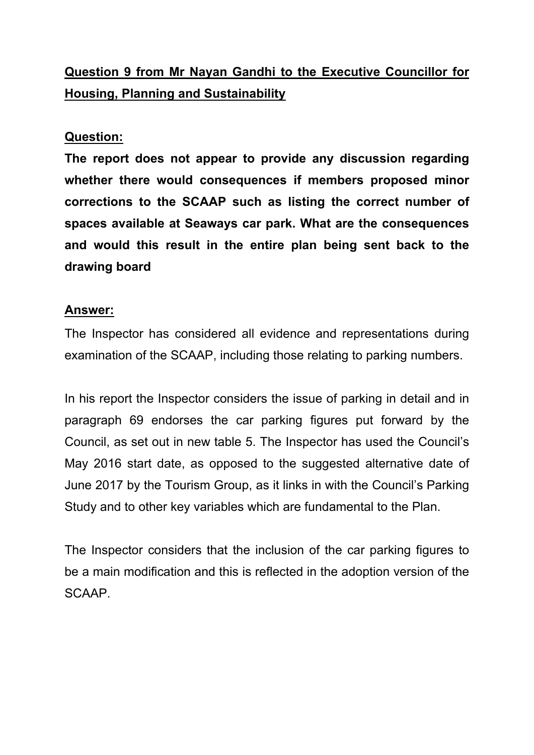# **Question 9 from Mr Nayan Gandhi to the Executive Councillor for Housing, Planning and Sustainability**

### **Question:**

**The report does not appear to provide any discussion regarding whether there would consequences if members proposed minor corrections to the SCAAP such as listing the correct number of spaces available at Seaways car park. What are the consequences and would this result in the entire plan being sent back to the drawing board**

### **Answer:**

The Inspector has considered all evidence and representations during examination of the SCAAP, including those relating to parking numbers.

In his report the Inspector considers the issue of parking in detail and in paragraph 69 endorses the car parking figures put forward by the Council, as set out in new table 5. The Inspector has used the Council's May 2016 start date, as opposed to the suggested alternative date of June 2017 by the Tourism Group, as it links in with the Council's Parking Study and to other key variables which are fundamental to the Plan.

The Inspector considers that the inclusion of the car parking figures to be a main modification and this is reflected in the adoption version of the SCAAP.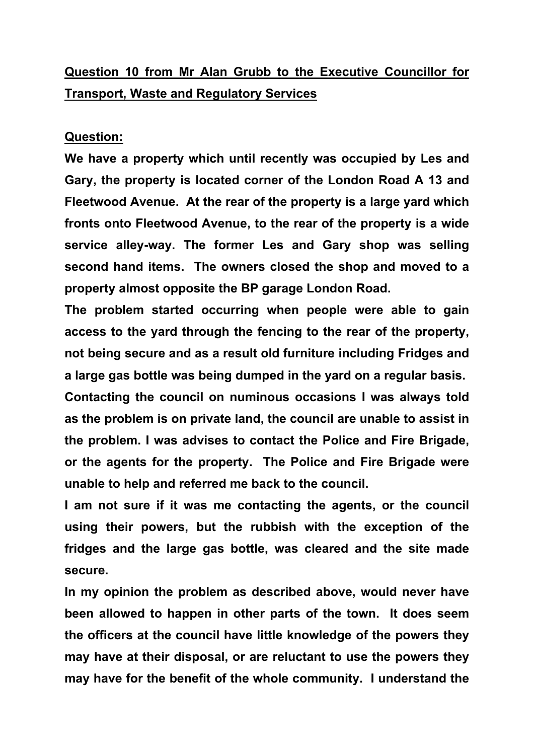# **Question 10 from Mr Alan Grubb to the Executive Councillor for Transport, Waste and Regulatory Services**

#### **Question:**

**We have a property which until recently was occupied by Les and Gary, the property is located corner of the London Road A 13 and Fleetwood Avenue. At the rear of the property is a large yard which fronts onto Fleetwood Avenue, to the rear of the property is a wide service alley-way. The former Les and Gary shop was selling second hand items. The owners closed the shop and moved to a property almost opposite the BP garage London Road.**

**The problem started occurring when people were able to gain access to the yard through the fencing to the rear of the property, not being secure and as a result old furniture including Fridges and a large gas bottle was being dumped in the yard on a regular basis.**

**Contacting the council on numinous occasions I was always told as the problem is on private land, the council are unable to assist in the problem. I was advises to contact the Police and Fire Brigade, or the agents for the property. The Police and Fire Brigade were unable to help and referred me back to the council.**

**I am not sure if it was me contacting the agents, or the council using their powers, but the rubbish with the exception of the fridges and the large gas bottle, was cleared and the site made secure.**

**In my opinion the problem as described above, would never have been allowed to happen in other parts of the town. It does seem the officers at the council have little knowledge of the powers they may have at their disposal, or are reluctant to use the powers they may have for the benefit of the whole community. I understand the**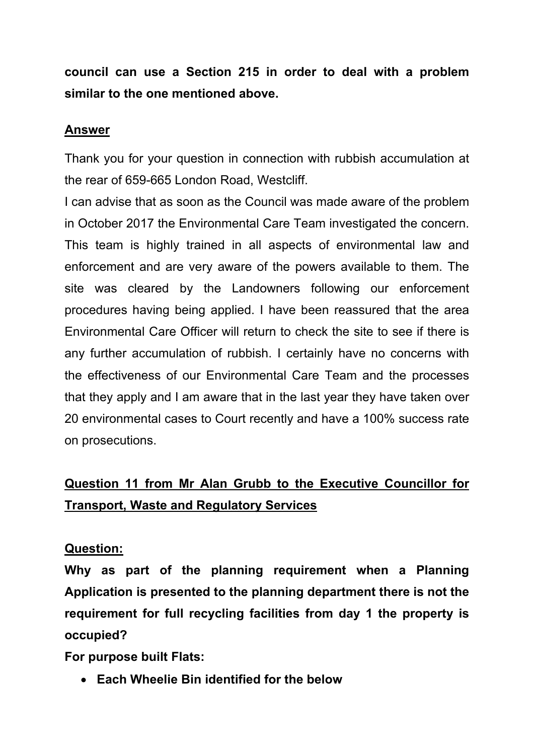**council can use a Section 215 in order to deal with a problem similar to the one mentioned above.**

### **Answer**

Thank you for your question in connection with rubbish accumulation at the rear of 659-665 London Road, Westcliff.

I can advise that as soon as the Council was made aware of the problem in October 2017 the Environmental Care Team investigated the concern. This team is highly trained in all aspects of environmental law and enforcement and are very aware of the powers available to them. The site was cleared by the Landowners following our enforcement procedures having being applied. I have been reassured that the area Environmental Care Officer will return to check the site to see if there is any further accumulation of rubbish. I certainly have no concerns with the effectiveness of our Environmental Care Team and the processes that they apply and I am aware that in the last year they have taken over 20 environmental cases to Court recently and have a 100% success rate on prosecutions.

# **Question 11 from Mr Alan Grubb to the Executive Councillor for Transport, Waste and Regulatory Services**

### **Question:**

**Why as part of the planning requirement when a Planning Application is presented to the planning department there is not the requirement for full recycling facilities from day 1 the property is occupied?**

**For purpose built Flats:**

**Each Wheelie Bin identified for the below**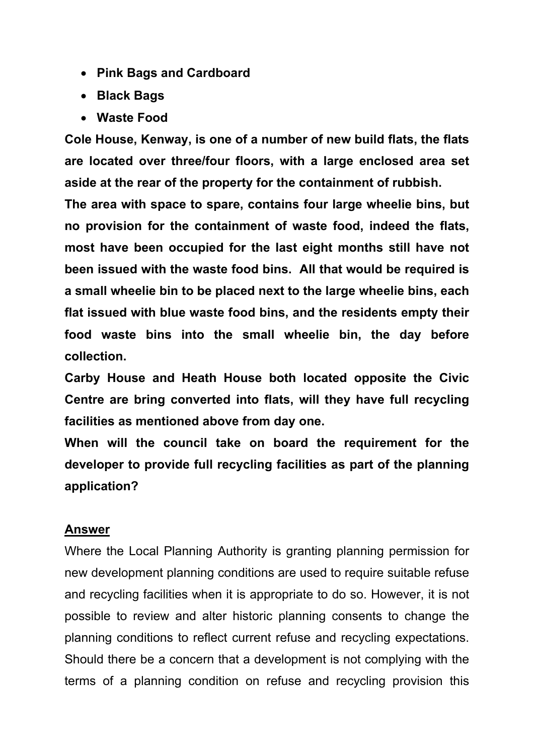- **Pink Bags and Cardboard**
- **Black Bags**
- **Waste Food**

**Cole House, Kenway, is one of a number of new build flats, the flats are located over three/four floors, with a large enclosed area set aside at the rear of the property for the containment of rubbish.**

**The area with space to spare, contains four large wheelie bins, but no provision for the containment of waste food, indeed the flats, most have been occupied for the last eight months still have not been issued with the waste food bins. All that would be required is a small wheelie bin to be placed next to the large wheelie bins, each flat issued with blue waste food bins, and the residents empty their food waste bins into the small wheelie bin, the day before collection.**

**Carby House and Heath House both located opposite the Civic Centre are bring converted into flats, will they have full recycling facilities as mentioned above from day one.**

**When will the council take on board the requirement for the developer to provide full recycling facilities as part of the planning application?**

#### **Answer**

Where the Local Planning Authority is granting planning permission for new development planning conditions are used to require suitable refuse and recycling facilities when it is appropriate to do so. However, it is not possible to review and alter historic planning consents to change the planning conditions to reflect current refuse and recycling expectations. Should there be a concern that a development is not complying with the terms of a planning condition on refuse and recycling provision this